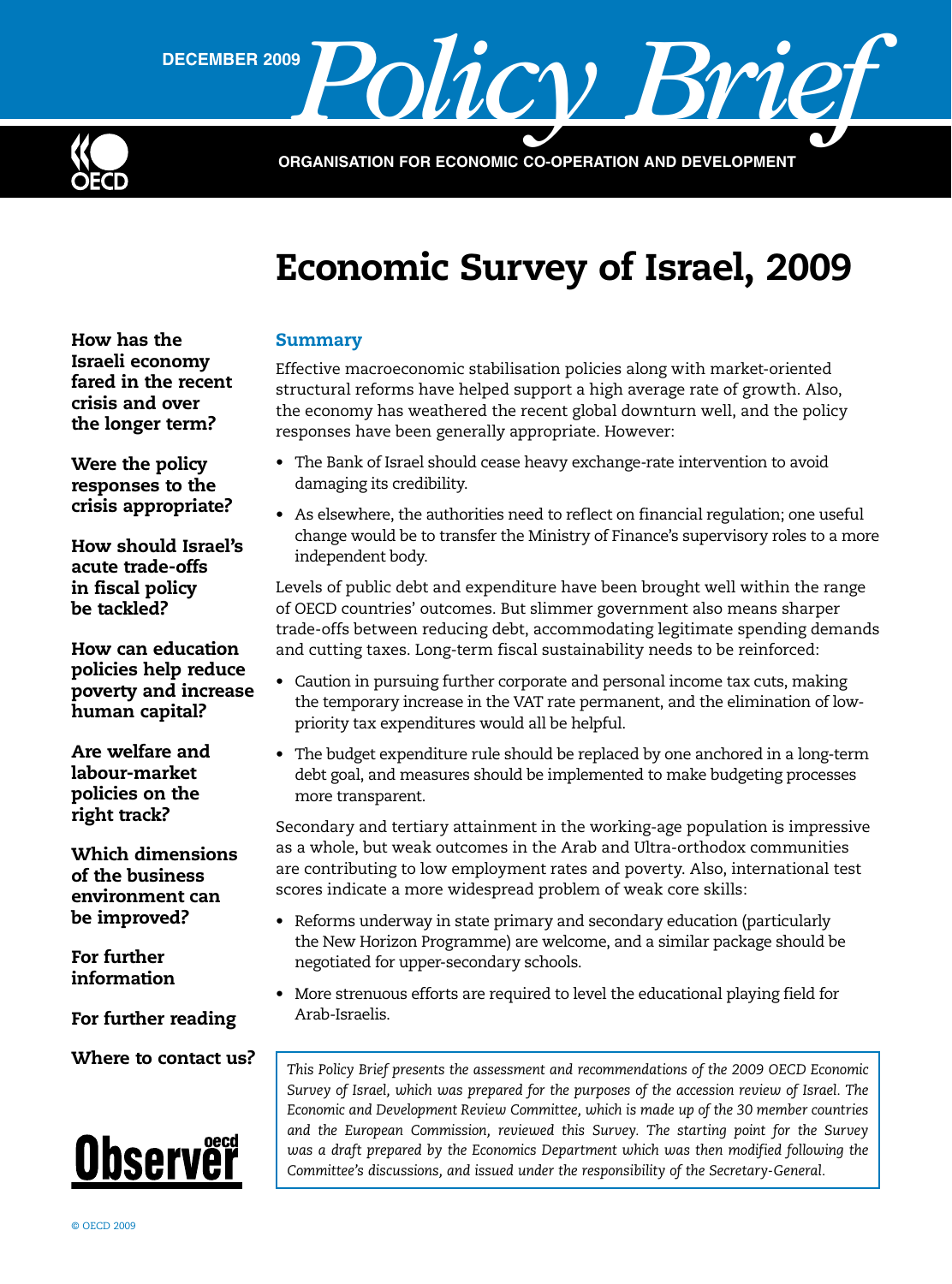



**Organisation for Economic Co-operation and Development**

# Economic Survey of Israel, 2009

## Summary

Effective macroeconomic stabilisation policies along with market-oriented structural reforms have helped support a high average rate of growth. Also, the economy has weathered the recent global downturn well, and the policy responses have been generally appropriate. However:

- The Bank of Israel should cease heavy exchange-rate intervention to avoid damaging its credibility.
- As elsewhere, the authorities need to reflect on financial regulation; one useful change would be to transfer the Ministry of Finance's supervisory roles to a more independent body.

Levels of public debt and expenditure have been brought well within the range of OECD countries' outcomes. But slimmer government also means sharper trade-offs between reducing debt, accommodating legitimate spending demands and cutting taxes. Long-term fiscal sustainability needs to be reinforced:

- Caution in pursuing further corporate and personal income tax cuts, making the temporary increase in the VAT rate permanent, and the elimination of lowpriority tax expenditures would all be helpful.
- The budget expenditure rule should be replaced by one anchored in a long-term debt goal, and measures should be implemented to make budgeting processes more transparent.

Secondary and tertiary attainment in the working-age population is impressive as a whole, but weak outcomes in the Arab and Ultra-orthodox communities are contributing to low employment rates and poverty. Also, international test scores indicate a more widespread problem of weak core skills:

- Reforms underway in state primary and secondary education (particularly the New Horizon Programme) are welcome, and a similar package should be negotiated for upper-secondary schools.
- More strenuous efforts are required to level the educational playing field for Arab-Israelis.

*This Policy Brief presents the assessment and recommendations of the 2009 OECD Economic Survey of Israel, which was prepared for the purposes of the accession review of Israel. The Economic and Development Review Committee, which is made up of the 30 member countries and the European Commission, reviewed this Survey. The starting point for the Survey was a draft prepared by the Economics Department which was then modified following the Committee's discussions, and issued under the responsibility of the Secretary-General.*

[How has the](#page-2-0)  [Israeli economy](#page-2-0)  [fared in the recent](#page-2-0)  [crisis and over](#page-2-0)  [the longer term?](#page-2-0)

[Were the policy](#page-3-0)  [responses to the](#page-3-0)  [crisis appropriate?](#page-3-0)

[How should Israel's](#page-4-0)  [acute trade-offs](#page-4-0)  [in fiscal policy](#page-4-0)  [be tackled?](#page-4-0)

[How can education](#page-6-0)  [policies help reduce](#page-6-0)  [poverty and increase](#page-6-0)  [human capital?](#page-6-0)

[Are welfare and](#page-8-0)  [labour-market](#page-8-0)  [policies on the](#page-8-0)  [right track?](#page-8-0)

[Which dimensions](#page-10-0)  [of the business](#page-10-0)  [environment can](#page-10-0)  [be improved?](#page-10-0)

[For further](#page-10-0)  [information](#page-10-0)

[For further reading](#page-11-0)

[Where to contact us?](#page-11-0)

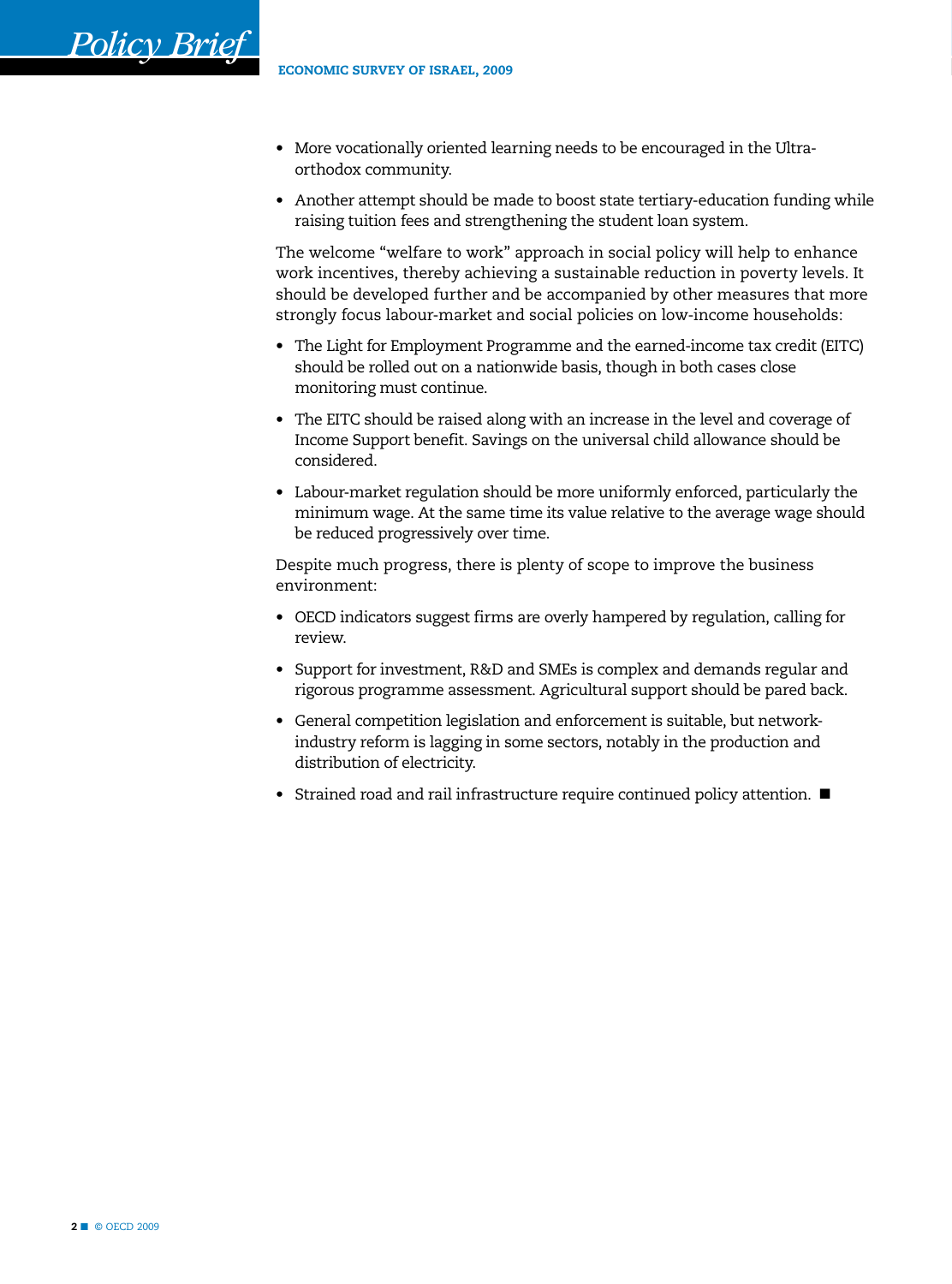- More vocationally oriented learning needs to be encouraged in the Ultraorthodox community.
- Another attempt should be made to boost state tertiary-education funding while raising tuition fees and strengthening the student loan system.

The welcome "welfare to work" approach in social policy will help to enhance work incentives, thereby achieving a sustainable reduction in poverty levels. It should be developed further and be accompanied by other measures that more strongly focus labour-market and social policies on low-income households:

- The Light for Employment Programme and the earned-income tax credit (EITC) should be rolled out on a nationwide basis, though in both cases close monitoring must continue.
- The EITC should be raised along with an increase in the level and coverage of Income Support benefit. Savings on the universal child allowance should be considered.
- Labour-market regulation should be more uniformly enforced, particularly the minimum wage. At the same time its value relative to the average wage should be reduced progressively over time.

Despite much progress, there is plenty of scope to improve the business environment:

- OECD indicators suggest firms are overly hampered by regulation, calling for review.
- Support for investment, R&D and SMEs is complex and demands regular and rigorous programme assessment. Agricultural support should be pared back.
- General competition legislation and enforcement is suitable, but networkindustry reform is lagging in some sectors, notably in the production and distribution of electricity.
- $\bullet$  Strained road and rail infrastructure require continued policy attention.  $\blacksquare$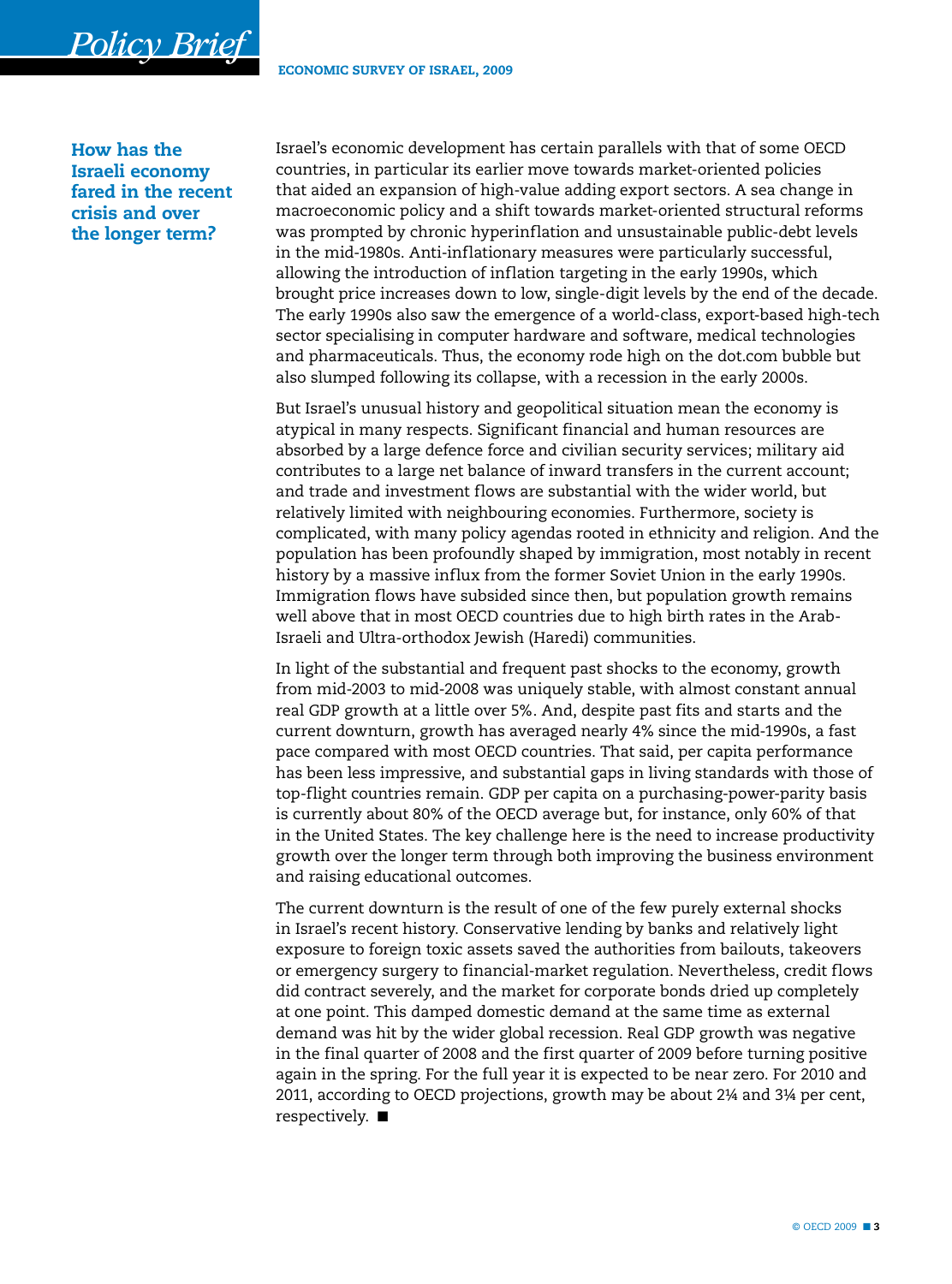How has the Israeli economy fared in the recent crisis and over the longer term?

<span id="page-2-0"></span> *Policy Brief*

Israel's economic development has certain parallels with that of some OECD countries, in particular its earlier move towards market-oriented policies that aided an expansion of high-value adding export sectors. A sea change in macroeconomic policy and a shift towards market-oriented structural reforms was prompted by chronic hyperinflation and unsustainable public-debt levels in the mid-1980s. Anti-inflationary measures were particularly successful, allowing the introduction of inflation targeting in the early 1990s, which brought price increases down to low, single-digit levels by the end of the decade. The early 1990s also saw the emergence of a world-class, export-based high-tech sector specialising in computer hardware and software, medical technologies and pharmaceuticals. Thus, the economy rode high on the dot.com bubble but also slumped following its collapse, with a recession in the early 2000s.

But Israel's unusual history and geopolitical situation mean the economy is atypical in many respects. Significant financial and human resources are absorbed by a large defence force and civilian security services; military aid contributes to a large net balance of inward transfers in the current account; and trade and investment flows are substantial with the wider world, but relatively limited with neighbouring economies. Furthermore, society is complicated, with many policy agendas rooted in ethnicity and religion. And the population has been profoundly shaped by immigration, most notably in recent history by a massive influx from the former Soviet Union in the early 1990s. Immigration flows have subsided since then, but population growth remains well above that in most OECD countries due to high birth rates in the Arab-Israeli and Ultra-orthodox Jewish (Haredi) communities.

In light of the substantial and frequent past shocks to the economy, growth from mid-2003 to mid-2008 was uniquely stable, with almost constant annual real GDP growth at a little over 5%. And, despite past fits and starts and the current downturn, growth has averaged nearly 4% since the mid-1990s, a fast pace compared with most OECD countries. That said, per capita performance has been less impressive, and substantial gaps in living standards with those of top-flight countries remain. GDP per capita on a purchasing-power-parity basis is currently about 80% of the OECD average but, for instance, only 60% of that in the United States. The key challenge here is the need to increase productivity growth over the longer term through both improving the business environment and raising educational outcomes.

The current downturn is the result of one of the few purely external shocks in Israel's recent history. Conservative lending by banks and relatively light exposure to foreign toxic assets saved the authorities from bailouts, takeovers or emergency surgery to financial-market regulation. Nevertheless, credit flows did contract severely, and the market for corporate bonds dried up completely at one point. This damped domestic demand at the same time as external demand was hit by the wider global recession. Real GDP growth was negative in the final quarter of 2008 and the first quarter of 2009 before turning positive again in the spring. For the full year it is expected to be near zero. For 2010 and 2011, according to OECD projections, growth may be about 2¼ and 3¼ per cent, respectively.  $\blacksquare$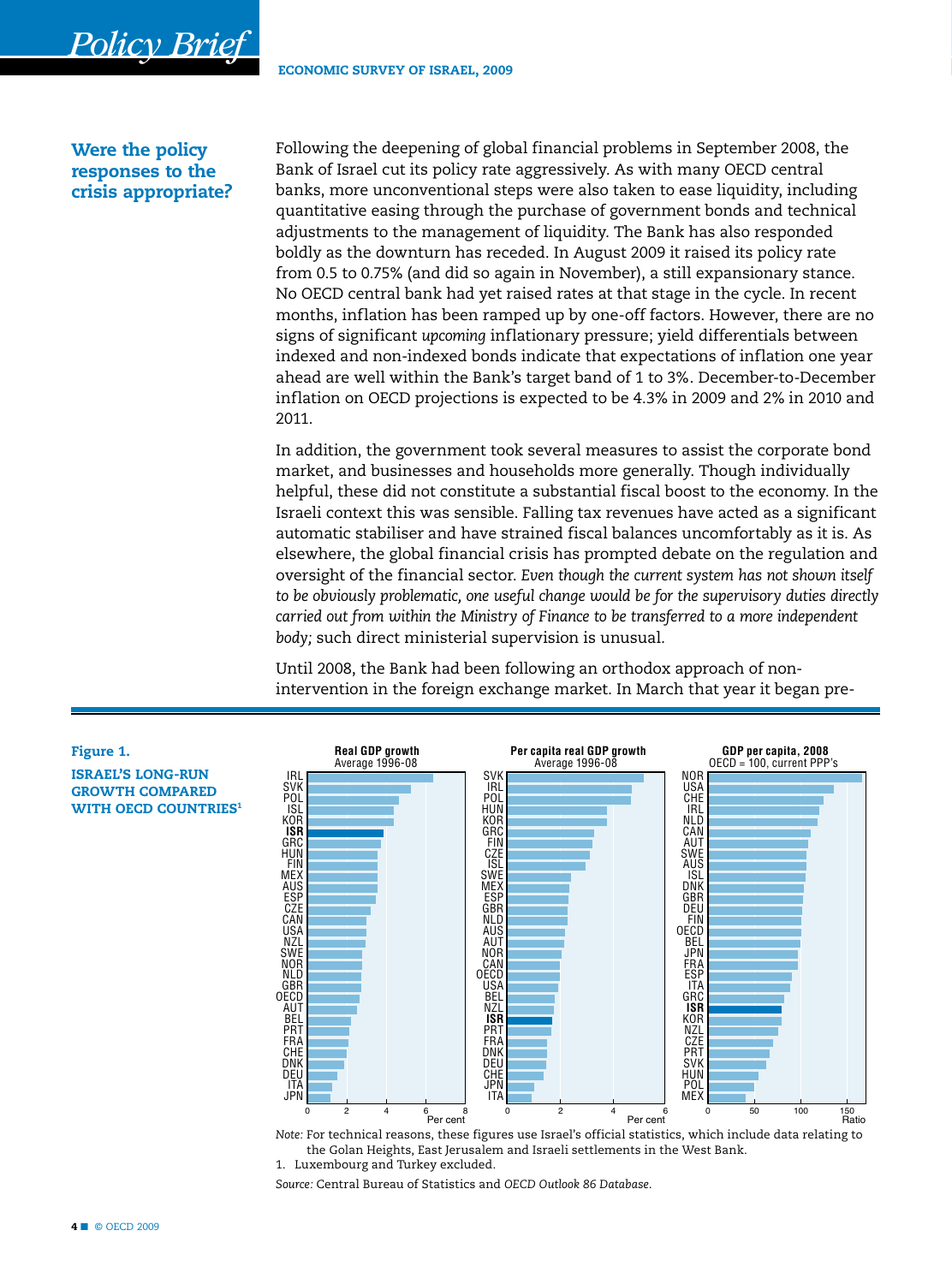## Were the policy responses to the crisis appropriate?

<span id="page-3-0"></span> *Policy Brief*

Following the deepening of global financial problems in September 2008, the Bank of Israel cut its policy rate aggressively. As with many OECD central banks, more unconventional steps were also taken to ease liquidity, including quantitative easing through the purchase of government bonds and technical adjustments to the management of liquidity. The Bank has also responded boldly as the downturn has receded. In August 2009 it raised its policy rate from 0.5 to 0.75% (and did so again in November), a still expansionary stance. No OECD central bank had yet raised rates at that stage in the cycle. In recent months, inflation has been ramped up by one-off factors. However, there are no signs of significant *upcoming* inflationary pressure; yield differentials between indexed and non-indexed bonds indicate that expectations of inflation one year ahead are well within the Bank's target band of 1 to 3%. December-to-December inflation on OECD projections is expected to be 4.3% in 2009 and 2% in 2010 and 2011.

In addition, the government took several measures to assist the corporate bond market, and businesses and households more generally. Though individually helpful, these did not constitute a substantial fiscal boost to the economy. In the Israeli context this was sensible. Falling tax revenues have acted as a significant automatic stabiliser and have strained fiscal balances uncomfortably as it is. As elsewhere, the global financial crisis has prompted debate on the regulation and oversight of the financial sector. *Even though the current system has not shown itself to be obviously problematic, one useful change would be for the supervisory duties directly carried out from within the Ministry of Finance to be transferred to a more independent body;* such direct ministerial supervision is unusual.

Until 2008, the Bank had been following an orthodox approach of nonintervention in the foreign exchange market. In March that year it began pre-



*Note:* For technical reasons, these figures use Israel's official statistics, which include data relating to the Golan Heights, East Jerusalem and Israeli settlements in the West Bank.

1. Luxembourg and Turkey excluded.

*Source:* Central Bureau of Statistics and *OECD Outlook 86 Database*.

# Figure 1.

Israel's long-run growth compared WITH OECD COUNTRIES<sup>1</sup>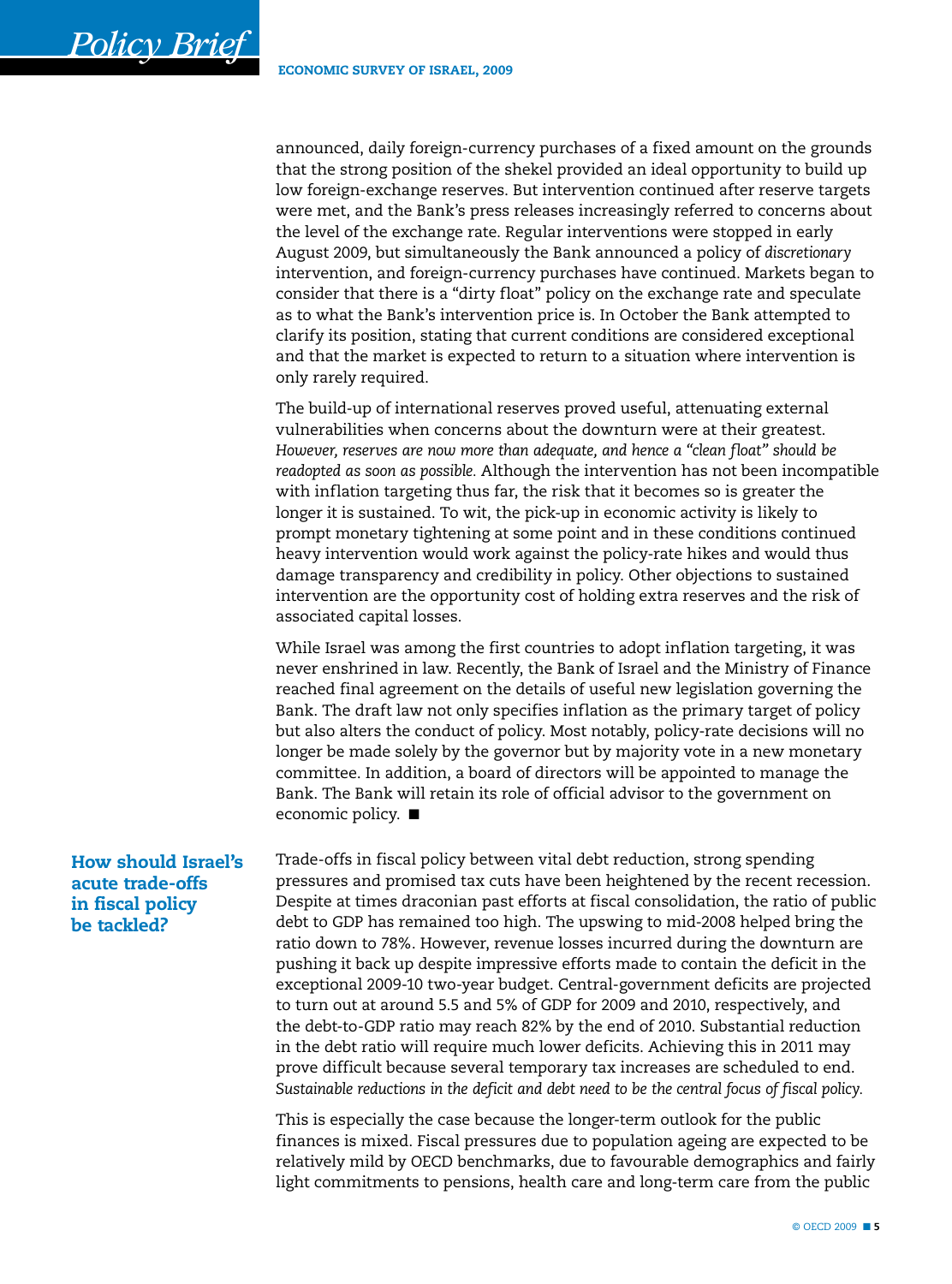<span id="page-4-0"></span>announced, daily foreign-currency purchases of a fixed amount on the grounds that the strong position of the shekel provided an ideal opportunity to build up low foreign-exchange reserves. But intervention continued after reserve targets were met, and the Bank's press releases increasingly referred to concerns about the level of the exchange rate. Regular interventions were stopped in early August 2009, but simultaneously the Bank announced a policy of *discretionary* intervention, and foreign-currency purchases have continued. Markets began to consider that there is a "dirty float" policy on the exchange rate and speculate as to what the Bank's intervention price is. In October the Bank attempted to clarify its position, stating that current conditions are considered exceptional and that the market is expected to return to a situation where intervention is only rarely required.

The build-up of international reserves proved useful, attenuating external vulnerabilities when concerns about the downturn were at their greatest. *However, reserves are now more than adequate, and hence a "clean float" should be readopted as soon as possible.* Although the intervention has not been incompatible with inflation targeting thus far, the risk that it becomes so is greater the longer it is sustained. To wit, the pick-up in economic activity is likely to prompt monetary tightening at some point and in these conditions continued heavy intervention would work against the policy-rate hikes and would thus damage transparency and credibility in policy. Other objections to sustained intervention are the opportunity cost of holding extra reserves and the risk of associated capital losses.

While Israel was among the first countries to adopt inflation targeting, it was never enshrined in law. Recently, the Bank of Israel and the Ministry of Finance reached final agreement on the details of useful new legislation governing the Bank. The draft law not only specifies inflation as the primary target of policy but also alters the conduct of policy. Most notably, policy-rate decisions will no longer be made solely by the governor but by majority vote in a new monetary committee. In addition, a board of directors will be appointed to manage the Bank. The Bank will retain its role of official advisor to the government on economic policy.  $\blacksquare$ 

### How should Israel's acute trade-offs in fiscal policy be tackled?

Trade-offs in fiscal policy between vital debt reduction, strong spending pressures and promised tax cuts have been heightened by the recent recession. Despite at times draconian past efforts at fiscal consolidation, the ratio of public debt to GDP has remained too high. The upswing to mid-2008 helped bring the ratio down to 78%. However, revenue losses incurred during the downturn are pushing it back up despite impressive efforts made to contain the deficit in the exceptional 2009-10 two-year budget. Central-government deficits are projected to turn out at around 5.5 and 5% of GDP for 2009 and 2010, respectively, and the debt-to-GDP ratio may reach 82% by the end of 2010. Substantial reduction in the debt ratio will require much lower deficits. Achieving this in 2011 may prove difficult because several temporary tax increases are scheduled to end. *Sustainable reductions in the deficit and debt need to be the central focus of fiscal policy.*

This is especially the case because the longer-term outlook for the public finances is mixed. Fiscal pressures due to population ageing are expected to be relatively mild by OECD benchmarks, due to favourable demographics and fairly light commitments to pensions, health care and long-term care from the public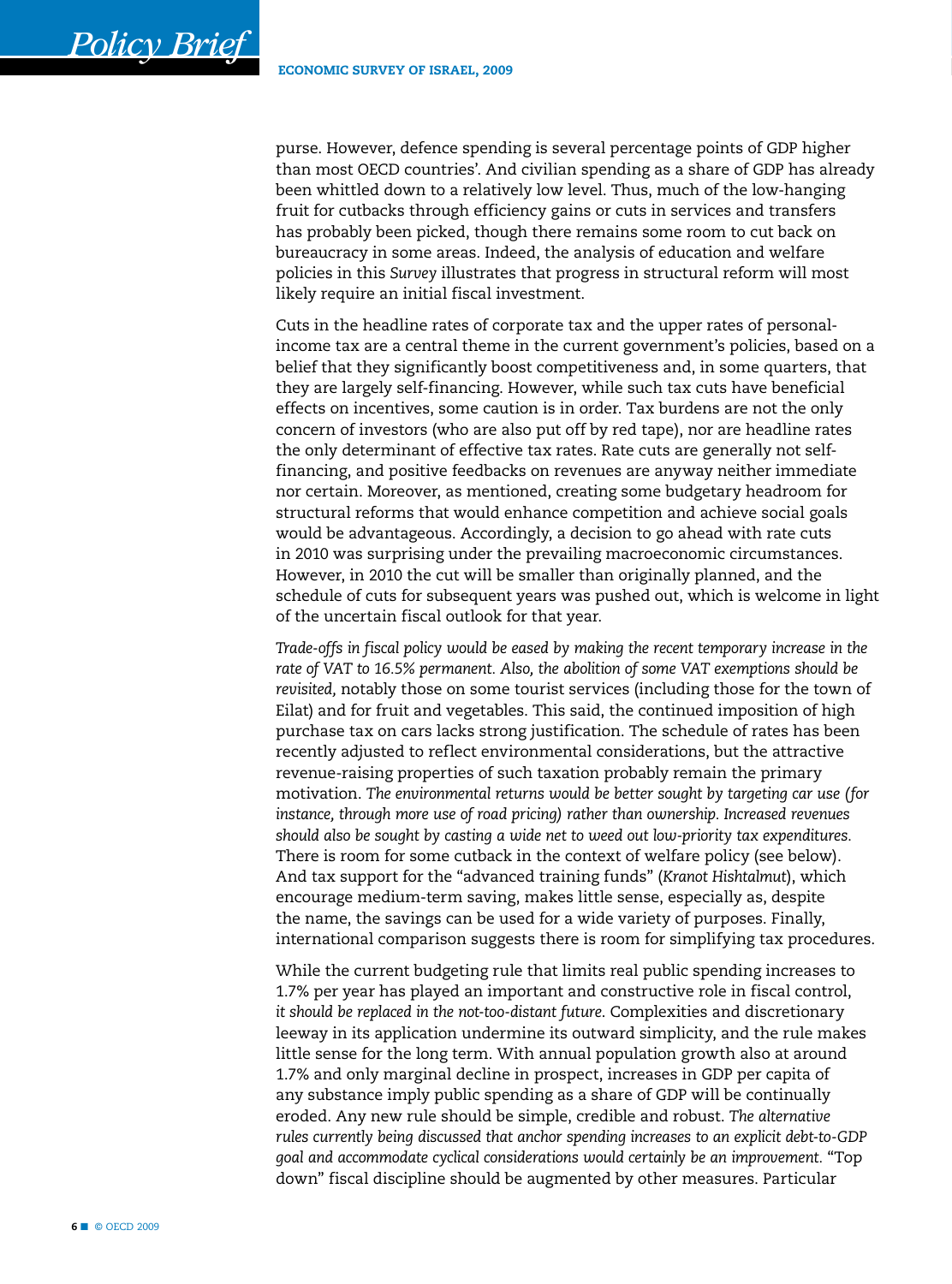purse. However, defence spending is several percentage points of GDP higher than most OECD countries'. And civilian spending as a share of GDP has already been whittled down to a relatively low level. Thus, much of the low-hanging fruit for cutbacks through efficiency gains or cuts in services and transfers has probably been picked, though there remains some room to cut back on bureaucracy in some areas. Indeed, the analysis of education and welfare policies in this *Survey* illustrates that progress in structural reform will most likely require an initial fiscal investment.

Cuts in the headline rates of corporate tax and the upper rates of personalincome tax are a central theme in the current government's policies, based on a belief that they significantly boost competitiveness and, in some quarters, that they are largely self-financing. However, while such tax cuts have beneficial effects on incentives, some caution is in order. Tax burdens are not the only concern of investors (who are also put off by red tape), nor are headline rates the only determinant of effective tax rates. Rate cuts are generally not selffinancing, and positive feedbacks on revenues are anyway neither immediate nor certain. Moreover, as mentioned, creating some budgetary headroom for structural reforms that would enhance competition and achieve social goals would be advantageous. Accordingly, a decision to go ahead with rate cuts in 2010 was surprising under the prevailing macroeconomic circumstances. However, in 2010 the cut will be smaller than originally planned, and the schedule of cuts for subsequent years was pushed out, which is welcome in light of the uncertain fiscal outlook for that year.

*Trade-offs in fiscal policy would be eased by making the recent temporary increase in the rate of VAT to 16.5% permanent. Also, the abolition of some VAT exemptions should be revisited,* notably those on some tourist services (including those for the town of Eilat) and for fruit and vegetables. This said, the continued imposition of high purchase tax on cars lacks strong justification. The schedule of rates has been recently adjusted to reflect environmental considerations, but the attractive revenue-raising properties of such taxation probably remain the primary motivation. *The environmental returns would be better sought by targeting car use (for instance, through more use of road pricing) rather than ownership. Increased revenues should also be sought by casting a wide net to weed out low-priority tax expenditures.* There is room for some cutback in the context of welfare policy (see below). And tax support for the "advanced training funds" (*Kranot Hishtalmut*), which encourage medium-term saving, makes little sense, especially as, despite the name, the savings can be used for a wide variety of purposes. Finally, international comparison suggests there is room for simplifying tax procedures.

While the current budgeting rule that limits real public spending increases to 1.7% per year has played an important and constructive role in fiscal control, *it should be replaced in the not-too-distant future*. Complexities and discretionary leeway in its application undermine its outward simplicity, and the rule makes little sense for the long term. With annual population growth also at around 1.7% and only marginal decline in prospect, increases in GDP per capita of any substance imply public spending as a share of GDP will be continually eroded. Any new rule should be simple, credible and robust. *The alternative rules currently being discussed that anchor spending increases to an explicit debt-to-GDP goal and accommodate cyclical considerations would certainly be an improvement.* "Top down" fiscal discipline should be augmented by other measures. Particular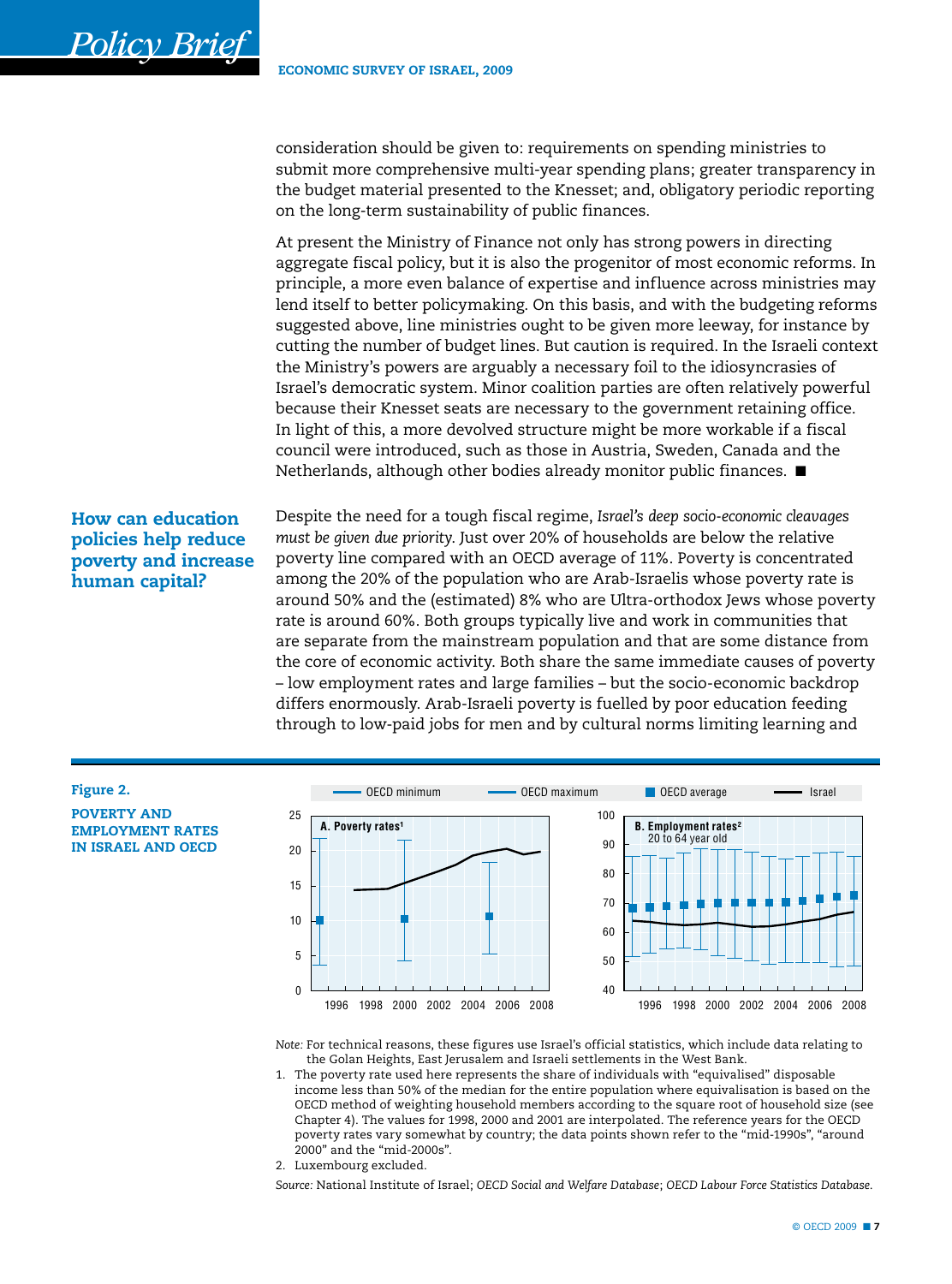consideration should be given to: requirements on spending ministries to submit more comprehensive multi-year spending plans; greater transparency in the budget material presented to the Knesset; and, obligatory periodic reporting on the long-term sustainability of public finances.

At present the Ministry of Finance not only has strong powers in directing aggregate fiscal policy, but it is also the progenitor of most economic reforms. In principle, a more even balance of expertise and influence across ministries may lend itself to better policymaking. On this basis, and with the budgeting reforms suggested above, line ministries ought to be given more leeway, for instance by cutting the number of budget lines. But caution is required. In the Israeli context the Ministry's powers are arguably a necessary foil to the idiosyncrasies of Israel's democratic system. Minor coalition parties are often relatively powerful because their Knesset seats are necessary to the government retaining office. In light of this, a more devolved structure might be more workable if a fiscal council were introduced, such as those in Austria, Sweden, Canada and the Netherlands, although other bodies already monitor public finances.  $\blacksquare$ 

## How can education policies help reduce poverty and increase human capital?

Figure 2. Poverty and employment rates in Israel and OECD

<span id="page-6-0"></span> *Policy Brief*

Despite the need for a tough fiscal regime, *Israel's deep socio-economic cleavages must be given due priority*. Just over 20% of households are below the relative poverty line compared with an OECD average of 11%. Poverty is concentrated among the 20% of the population who are Arab-Israelis whose poverty rate is around 50% and the (estimated) 8% who are Ultra-orthodox Jews whose poverty rate is around 60%. Both groups typically live and work in communities that are separate from the mainstream population and that are some distance from the core of economic activity. Both share the same immediate causes of poverty – low employment rates and large families – but the socio-economic backdrop differs enormously. Arab-Israeli poverty is fuelled by poor education feeding through to low-paid jobs for men and by cultural norms limiting learning and



*Note:* For technical reasons, these figures use Israel's official statistics, which include data relating to the Golan Heights, East Jerusalem and Israeli settlements in the West Bank.

- 1. The poverty rate used here represents the share of individuals with "equivalised" disposable income less than 50% of the median for the entire population where equivalisation is based on the OECD method of weighting household members according to the square root of household size (see Chapter 4). The values for 1998, 2000 and 2001 are interpolated. The reference years for the OECD poverty rates vary somewhat by country; the data points shown refer to the "mid-1990s", "around 2000" and the "mid-2000s".
- 2. Luxembourg excluded.

*Source:* National Institute of Israel; *OECD Social and Welfare Database*; *OECD Labour Force Statistics Database*.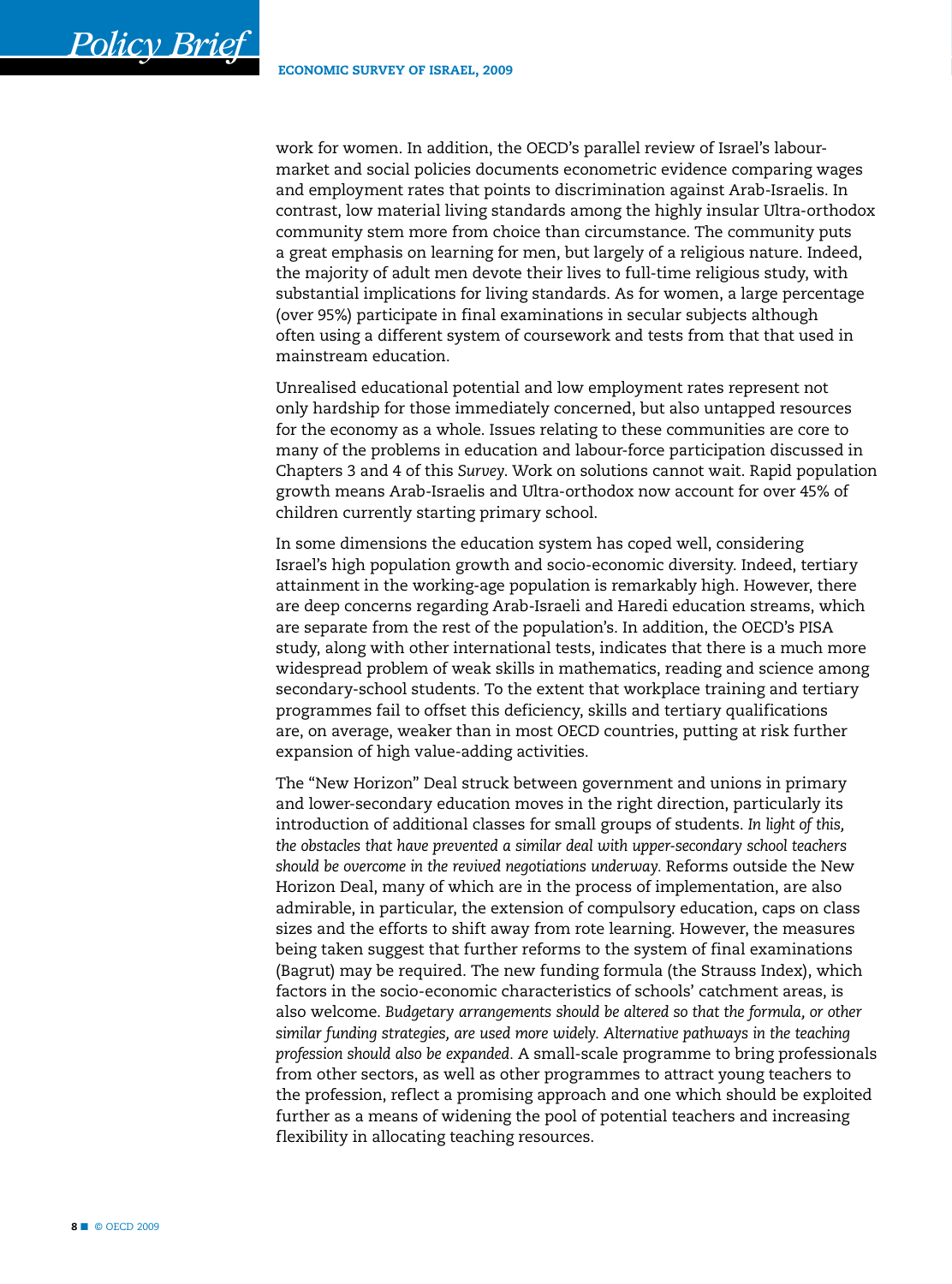work for women. In addition, the OECD's parallel review of Israel's labourmarket and social policies documents econometric evidence comparing wages and employment rates that points to discrimination against Arab-Israelis. In contrast, low material living standards among the highly insular Ultra-orthodox community stem more from choice than circumstance. The community puts a great emphasis on learning for men, but largely of a religious nature. Indeed, the majority of adult men devote their lives to full-time religious study, with substantial implications for living standards. As for women, a large percentage (over 95%) participate in final examinations in secular subjects although often using a different system of coursework and tests from that that used in mainstream education.

Unrealised educational potential and low employment rates represent not only hardship for those immediately concerned, but also untapped resources for the economy as a whole. Issues relating to these communities are core to many of the problems in education and labour-force participation discussed in Chapters 3 and 4 of this *Survey*. Work on solutions cannot wait. Rapid population growth means Arab-Israelis and Ultra-orthodox now account for over 45% of children currently starting primary school.

In some dimensions the education system has coped well, considering Israel's high population growth and socio-economic diversity. Indeed, tertiary attainment in the working-age population is remarkably high. However, there are deep concerns regarding Arab-Israeli and Haredi education streams, which are separate from the rest of the population's. In addition, the OECD's PISA study, along with other international tests, indicates that there is a much more widespread problem of weak skills in mathematics, reading and science among secondary-school students. To the extent that workplace training and tertiary programmes fail to offset this deficiency, skills and tertiary qualifications are, on average, weaker than in most OECD countries, putting at risk further expansion of high value-adding activities.

The "New Horizon" Deal struck between government and unions in primary and lower-secondary education moves in the right direction, particularly its introduction of additional classes for small groups of students. *In light of this, the obstacles that have prevented a similar deal with upper-secondary school teachers should be overcome in the revived negotiations underway.* Reforms outside the New Horizon Deal, many of which are in the process of implementation, are also admirable, in particular, the extension of compulsory education, caps on class sizes and the efforts to shift away from rote learning. However, the measures being taken suggest that further reforms to the system of final examinations (Bagrut) may be required. The new funding formula (the Strauss Index), which factors in the socio-economic characteristics of schools' catchment areas, is also welcome. *Budgetary arrangements should be altered so that the formula, or other similar funding strategies, are used more widely. Alternative pathways in the teaching profession should also be expanded.* A small-scale programme to bring professionals from other sectors, as well as other programmes to attract young teachers to the profession, reflect a promising approach and one which should be exploited further as a means of widening the pool of potential teachers and increasing flexibility in allocating teaching resources.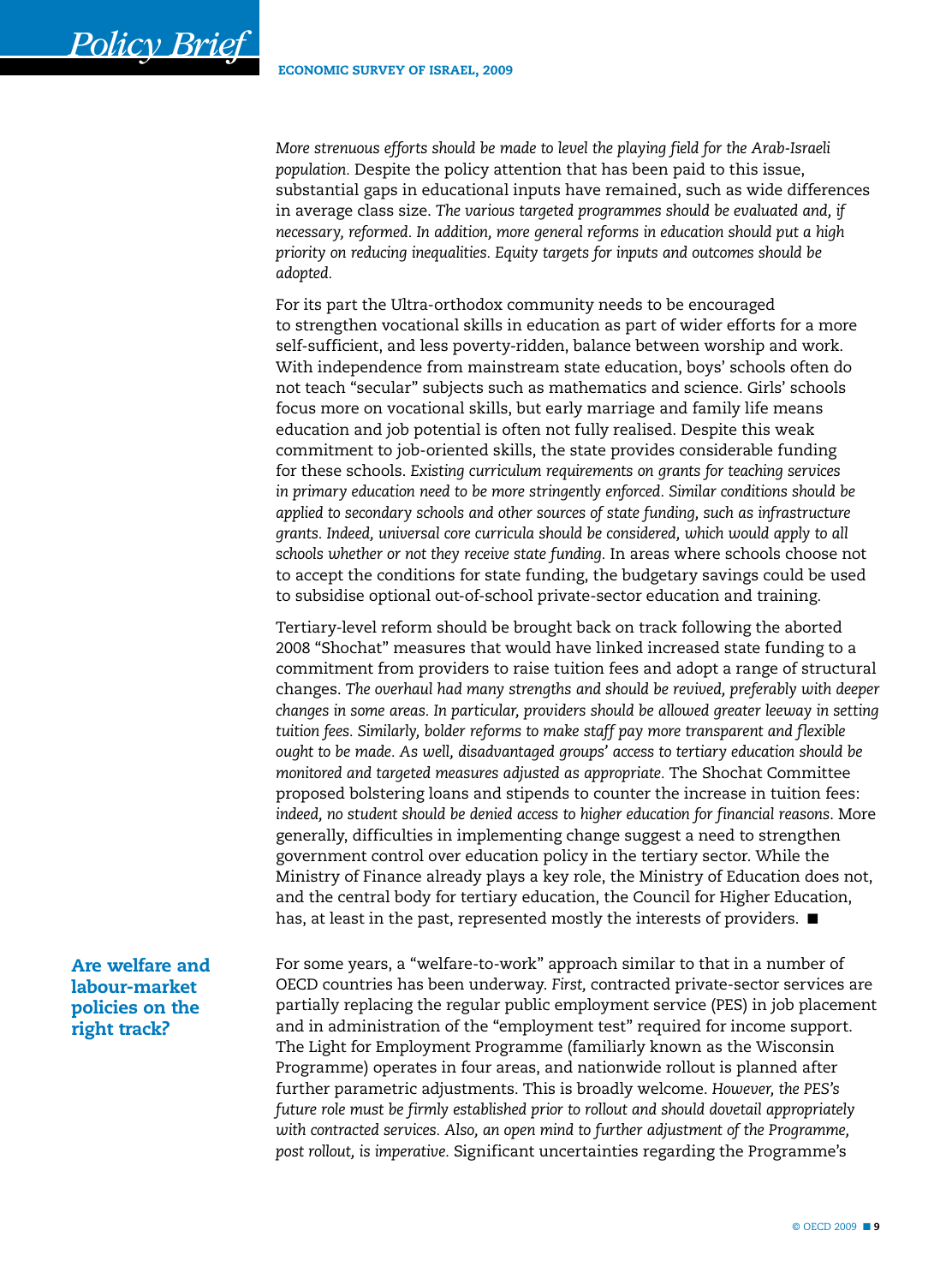*More strenuous efforts should be made to level the playing field for the Arab-Israeli population.* Despite the policy attention that has been paid to this issue, substantial gaps in educational inputs have remained, such as wide differences in average class size. *The various targeted programmes should be evaluated and, if necessary, reformed. In addition, more general reforms in education should put a high priority on reducing inequalities. Equity targets for inputs and outcomes should be adopted.*

For its part the Ultra-orthodox community needs to be encouraged to strengthen vocational skills in education as part of wider efforts for a more self-sufficient, and less poverty-ridden, balance between worship and work. With independence from mainstream state education, boys' schools often do not teach "secular" subjects such as mathematics and science. Girls' schools focus more on vocational skills, but early marriage and family life means education and job potential is often not fully realised. Despite this weak commitment to job-oriented skills, the state provides considerable funding for these schools. *Existing curriculum requirements on grants for teaching services in primary education need to be more stringently enforced. Similar conditions should be applied to secondary schools and other sources of state funding, such as infrastructure grants. Indeed, universal core curricula should be considered, which would apply to all schools whether or not they receive state funding.* In areas where schools choose not to accept the conditions for state funding, the budgetary savings could be used to subsidise optional out-of-school private-sector education and training.

Tertiary-level reform should be brought back on track following the aborted 2008 "Shochat" measures that would have linked increased state funding to a commitment from providers to raise tuition fees and adopt a range of structural changes. *The overhaul had many strengths and should be revived, preferably with deeper changes in some areas. In particular, providers should be allowed greater leeway in setting tuition fees. Similarly, bolder reforms to make staff pay more transparent and flexible ought to be made. As well, disadvantaged groups' access to tertiary education should be monitored and targeted measures adjusted as appropriate.* The Shochat Committee proposed bolstering loans and stipends to counter the increase in tuition fees: *indeed, no student should be denied access to higher education for financial reasons*. More generally, difficulties in implementing change suggest a need to strengthen government control over education policy in the tertiary sector. While the Ministry of Finance already plays a key role, the Ministry of Education does not, and the central body for tertiary education, the Council for Higher Education, has, at least in the past, represented mostly the interests of providers.  $\blacksquare$ 

Are welfare and labour-market policies on the right track?

<span id="page-8-0"></span> *Policy Brief*

For some years, a "welfare-to-work" approach similar to that in a number of OECD countries has been underway. *First,* contracted private-sector services are partially replacing the regular public employment service (PES) in job placement and in administration of the "employment test" required for income support. The Light for Employment Programme (familiarly known as the Wisconsin Programme) operates in four areas, and nationwide rollout is planned after further parametric adjustments. This is broadly welcome. *However, the PES's future role must be firmly established prior to rollout and should dovetail appropriately with contracted services. Also, an open mind to further adjustment of the Programme, post rollout, is imperative.* Significant uncertainties regarding the Programme's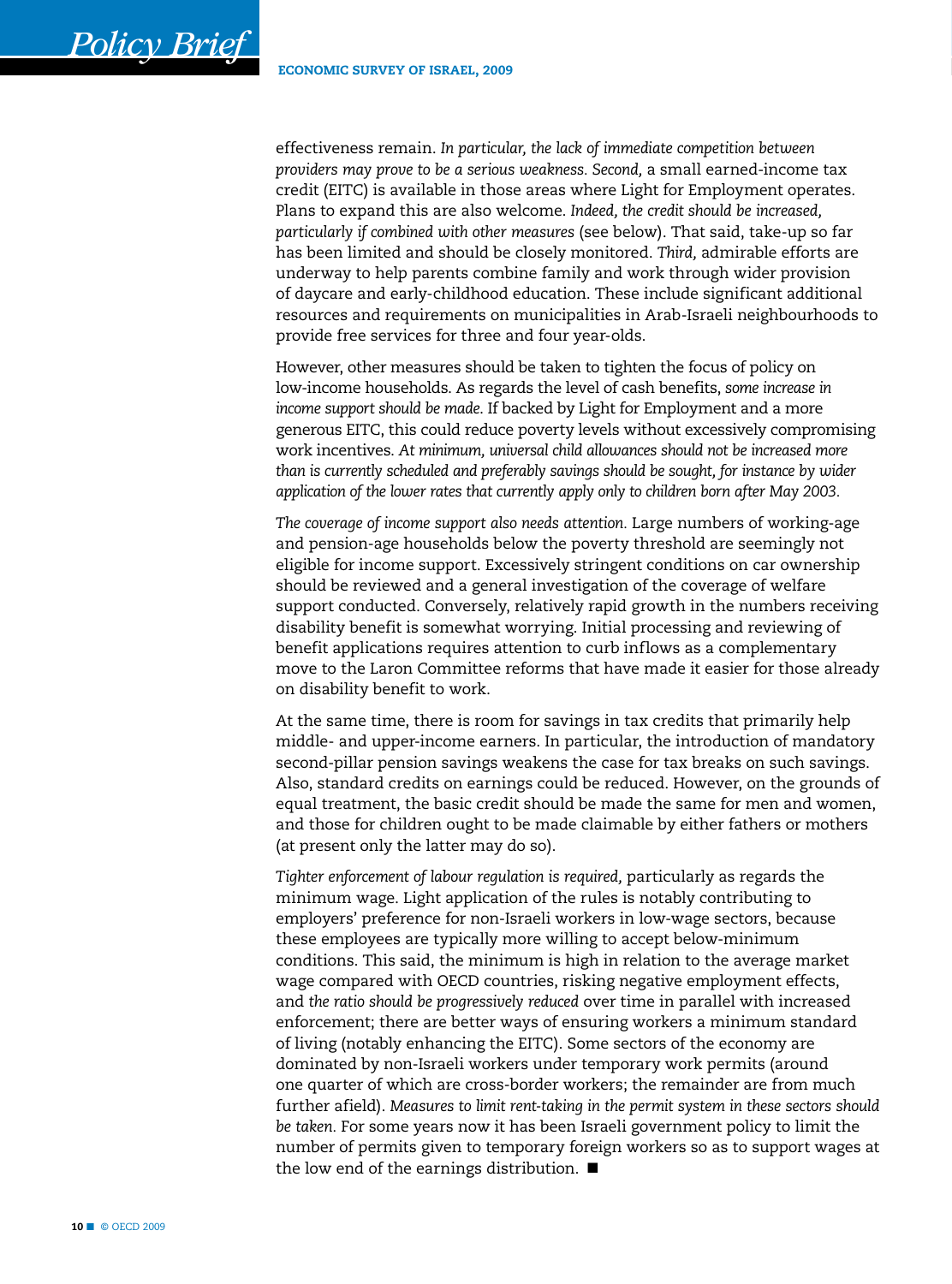effectiveness remain. *In particular, the lack of immediate competition between providers may prove to be a serious weakness. Second,* a small earned-income tax credit (EITC) is available in those areas where Light for Employment operates. Plans to expand this are also welcome. *Indeed, the credit should be increased, particularly if combined with other measures* (see below). That said, take-up so far has been limited and should be closely monitored. *Third,* admirable efforts are underway to help parents combine family and work through wider provision of daycare and early-childhood education. These include significant additional resources and requirements on municipalities in Arab-Israeli neighbourhoods to provide free services for three and four year-olds.

However, other measures should be taken to tighten the focus of policy on low-income households. As regards the level of cash benefits, *some increase in income support should be made*. If backed by Light for Employment and a more generous EITC, this could reduce poverty levels without excessively compromising work incentives. *At minimum, universal child allowances should not be increased more than is currently scheduled and preferably savings should be sought, for instance by wider application of the lower rates that currently apply only to children born after May 2003.*

*The coverage of income support also needs attention.* Large numbers of working-age and pension-age households below the poverty threshold are seemingly not eligible for income support. Excessively stringent conditions on car ownership should be reviewed and a general investigation of the coverage of welfare support conducted. Conversely, relatively rapid growth in the numbers receiving disability benefit is somewhat worrying. Initial processing and reviewing of benefit applications requires attention to curb inflows as a complementary move to the Laron Committee reforms that have made it easier for those already on disability benefit to work.

At the same time, there is room for savings in tax credits that primarily help middle- and upper-income earners. In particular, the introduction of mandatory second-pillar pension savings weakens the case for tax breaks on such savings. Also, standard credits on earnings could be reduced. However, on the grounds of equal treatment, the basic credit should be made the same for men and women, and those for children ought to be made claimable by either fathers or mothers (at present only the latter may do so).

*Tighter enforcement of labour regulation is required,* particularly as regards the minimum wage. Light application of the rules is notably contributing to employers' preference for non-Israeli workers in low-wage sectors, because these employees are typically more willing to accept below-minimum conditions. This said, the minimum is high in relation to the average market wage compared with OECD countries, risking negative employment effects, and *the ratio should be progressively reduced* over time in parallel with increased enforcement; there are better ways of ensuring workers a minimum standard of living (notably enhancing the EITC). Some sectors of the economy are dominated by non-Israeli workers under temporary work permits (around one quarter of which are cross-border workers; the remainder are from much further afield). *Measures to limit rent-taking in the permit system in these sectors should be taken.* For some years now it has been Israeli government policy to limit the number of permits given to temporary foreign workers so as to support wages at the low end of the earnings distribution.  $\blacksquare$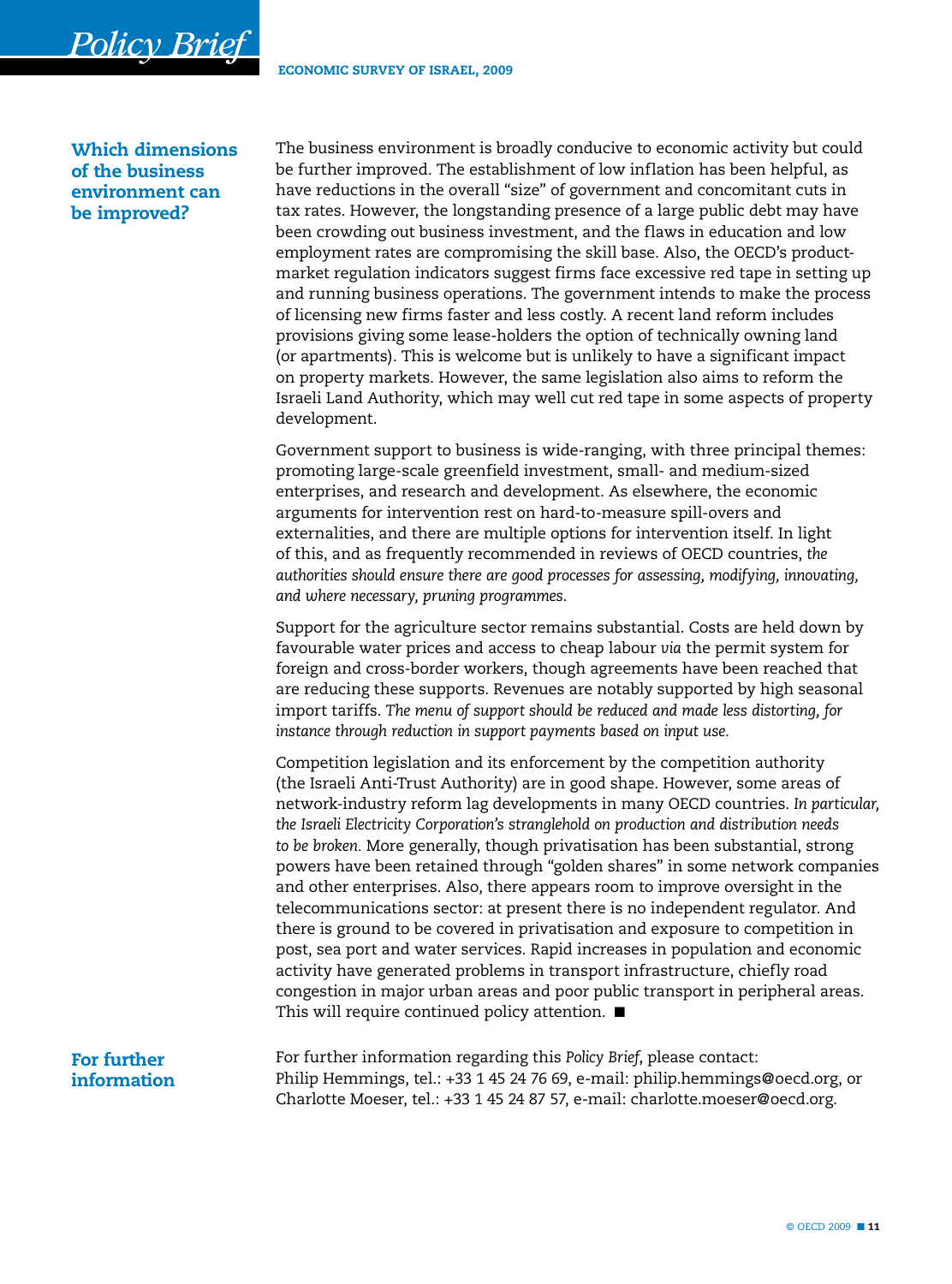Which dimensions of the business environment can be improved?

<span id="page-10-0"></span> *Policy Brief*

The business environment is broadly conducive to economic activity but could be further improved. The establishment of low inflation has been helpful, as have reductions in the overall "size" of government and concomitant cuts in tax rates. However, the longstanding presence of a large public debt may have been crowding out business investment, and the flaws in education and low employment rates are compromising the skill base. Also, the OECD's productmarket regulation indicators suggest firms face excessive red tape in setting up and running business operations. The government intends to make the process of licensing new firms faster and less costly. A recent land reform includes provisions giving some lease-holders the option of technically owning land (or apartments). This is welcome but is unlikely to have a significant impact on property markets. However, the same legislation also aims to reform the Israeli Land Authority, which may well cut red tape in some aspects of property development.

Government support to business is wide-ranging, with three principal themes: promoting large-scale greenfield investment, small- and medium-sized enterprises, and research and development. As elsewhere, the economic arguments for intervention rest on hard-to-measure spill-overs and externalities, and there are multiple options for intervention itself. In light of this, and as frequently recommended in reviews of OECD countries, *the authorities should ensure there are good processes for assessing, modifying, innovating, and where necessary, pruning programmes*.

Support for the agriculture sector remains substantial. Costs are held down by favourable water prices and access to cheap labour *via* the permit system for foreign and cross-border workers, though agreements have been reached that are reducing these supports. Revenues are notably supported by high seasonal import tariffs. *The menu of support should be reduced and made less distorting, for instance through reduction in support payments based on input use.*

Competition legislation and its enforcement by the competition authority (the Israeli Anti-Trust Authority) are in good shape. However, some areas of network-industry reform lag developments in many OECD countries. *In particular, the Israeli Electricity Corporation's stranglehold on production and distribution needs to be broken.* More generally, though privatisation has been substantial, strong powers have been retained through "golden shares" in some network companies and other enterprises. Also, there appears room to improve oversight in the telecommunications sector: at present there is no independent regulator. And there is ground to be covered in privatisation and exposure to competition in post, sea port and water services. Rapid increases in population and economic activity have generated problems in transport infrastructure, chiefly road congestion in major urban areas and poor public transport in peripheral areas. This will require continued policy attention.  $\blacksquare$ 

For further information For further information regarding this *Policy Brief*, please contact: Philip Hemmings, tel.: +33 1 45 24 76 69, e-mail: philip.hemmings@oecd.org, or Charlotte Moeser, tel.: +33 1 45 24 87 57, e-mail: charlotte.moeser@oecd.org.